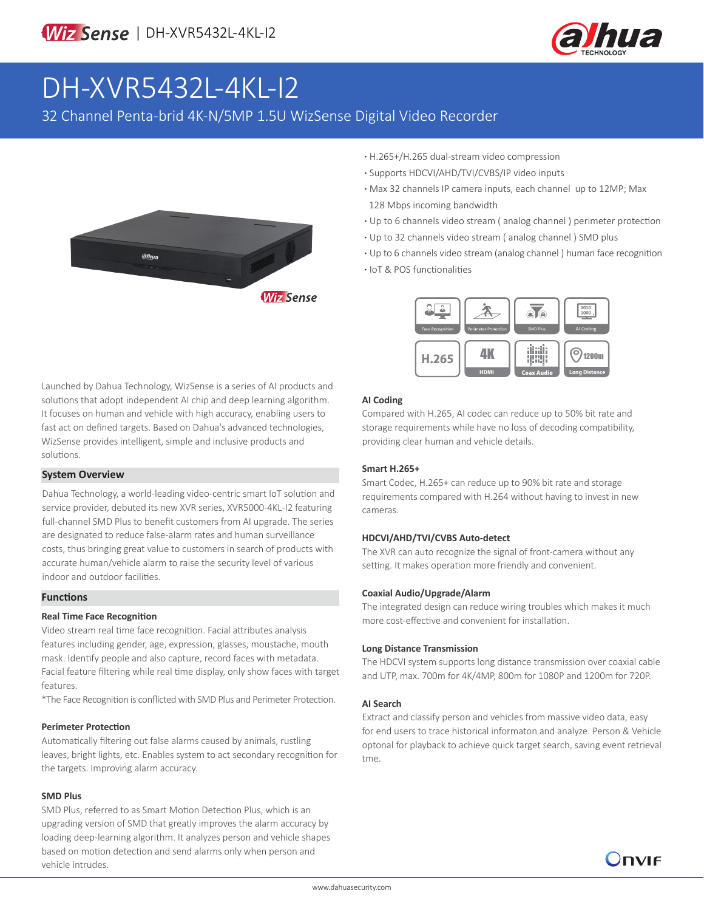

# DH-XVR5432L-4KL-I2

32 Channel Penta-brid 4K-N/5MP 1.5U WizSense Digital Video Recorder



- **·** H.265+/H.265 dual-stream video compression
- **·** Supports HDCVI/AHD/TVI/CVBS/IP video inputs
- **·** Max 32 channels IP camera inputs, each channel up to 12MP; Max 128 Mbps incoming bandwidth
- **·** Up to 6 channels video stream ( analog channel ) perimeter protection
- **·** Up to 32 channels video stream ( analog channel ) SMD plus
- **·** Up to 6 channels video stream (analog channel ) human face recognition
- **·** IoT & POS functionalities



# solutions that adopt independent AI chip and deep learning algorithm. It focuses on human and vehicle with high accuracy, enabling users to fast act on defined targets. Based on Dahua's advanced technologies, WizSense provides intelligent, simple and inclusive products and

Launched by Dahua Technology, WizSense is a series of AI products and

### **System Overview**

solutions.

Dahua Technology, a world-leading video-centric smart IoT solution and service provider, debuted its new XVR series, XVR5000-4KL-I2 featuring full-channel SMD Plus to benefit customers from AI upgrade. The series are designated to reduce false-alarm rates and human surveillance costs, thus bringing great value to customers in search of products with accurate human/vehicle alarm to raise the security level of various indoor and outdoor facilities.

### **Functions**

#### **Real Time Face Recognition**

Video stream real time face recognition. Facial attributes analysis features including gender, age, expression, glasses, moustache, mouth mask. Identify people and also capture, record faces with metadata. Facial feature filtering while real time display, only show faces with target features.

\*The Face Recognition is conflicted with SMD Plus and Perimeter Protection.

#### **Perimeter Protection**

Automatically filtering out false alarms caused by animals, rustling leaves, bright lights, etc. Enables system to act secondary recognition for the targets. Improving alarm accuracy.

#### **SMD Plus**

SMD Plus, referred to as Smart Motion Detection Plus, which is an upgrading version of SMD that greatly improves the alarm accuracy by loading deep-learning algorithm. It analyzes person and vehicle shapes based on motion detection and send alarms only when person and vehicle intrudes.

#### **AI Coding**

Compared with H.265, AI codec can reduce up to 50% bit rate and storage requirements while have no loss of decoding compatibility, providing clear human and vehicle details.

#### **Smart H.265+**

Smart Codec, H.265+ can reduce up to 90% bit rate and storage requirements compared with H.264 without having to invest in new cameras.

#### **HDCVI/AHD/TVI/CVBS Auto-detect**

The XVR can auto recognize the signal of front-camera without any setting. It makes operation more friendly and convenient.

#### **Coaxial Audio/Upgrade/Alarm**

The integrated design can reduce wiring troubles which makes it much more cost-effective and convenient for installation.

#### **Long Distance Transmission**

The HDCVI system supports long distance transmission over coaxial cable and UTP, max. 700m for 4K/4MP, 800m for 1080P and 1200m for 720P.

#### **AI Search**

Extract and classify person and vehicles from massive video data, easy for end users to trace historical informaton and analyze. Person & Vehicle optonal for playback to achieve quick target search, saving event retrieval tme.

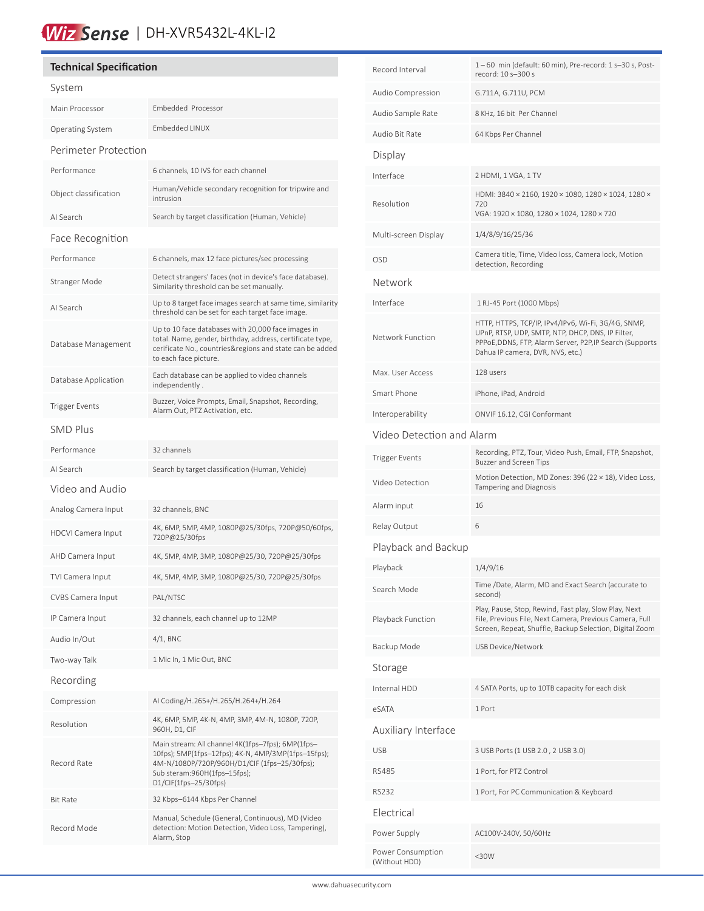# Wiz Sense | DH-XVR5432L-4KL-12

| <b>Technical Specification</b> |                                                                                                                                                                                                                     |  |  |  |
|--------------------------------|---------------------------------------------------------------------------------------------------------------------------------------------------------------------------------------------------------------------|--|--|--|
| System                         |                                                                                                                                                                                                                     |  |  |  |
| Main Processor                 | Embedded Processor                                                                                                                                                                                                  |  |  |  |
| <b>Operating System</b>        | <b>Embedded LINUX</b>                                                                                                                                                                                               |  |  |  |
| Perimeter Protection           |                                                                                                                                                                                                                     |  |  |  |
| Performance                    | 6 channels, 10 IVS for each channel                                                                                                                                                                                 |  |  |  |
| Object classification          | Human/Vehicle secondary recognition for tripwire and<br>intrusion                                                                                                                                                   |  |  |  |
| AI Search                      | Search by target classification (Human, Vehicle)                                                                                                                                                                    |  |  |  |
| Face Recognition               |                                                                                                                                                                                                                     |  |  |  |
| Performance                    | 6 channels, max 12 face pictures/sec processing                                                                                                                                                                     |  |  |  |
| Stranger Mode                  | Detect strangers' faces (not in device's face database).<br>Similarity threshold can be set manually.                                                                                                               |  |  |  |
| AI Search                      | Up to 8 target face images search at same time, similarity<br>threshold can be set for each target face image.                                                                                                      |  |  |  |
| Database Management            | Up to 10 face databases with 20,000 face images in<br>total. Name, gender, birthday, address, certificate type,<br>cerificate No., countries&regions and state can be added<br>to each face picture.                |  |  |  |
| Database Application           | Each database can be applied to video channels<br>independently.                                                                                                                                                    |  |  |  |
| Trigger Events                 | Buzzer, Voice Prompts, Email, Snapshot, Recording,<br>Alarm Out, PTZ Activation, etc.                                                                                                                               |  |  |  |
| <b>SMD Plus</b>                |                                                                                                                                                                                                                     |  |  |  |
| Performance                    | 32 channels                                                                                                                                                                                                         |  |  |  |
| AI Search                      | Search by target classification (Human, Vehicle)                                                                                                                                                                    |  |  |  |
| Video and Audio                |                                                                                                                                                                                                                     |  |  |  |
| Analog Camera Input            | 32 channels, BNC                                                                                                                                                                                                    |  |  |  |
| <b>HDCVI Camera Input</b>      | 4K, 6MP, 5MP, 4MP, 1080P@25/30fps, 720P@50/60fps,<br>720P@25/30fps                                                                                                                                                  |  |  |  |
| AHD Camera Input               | 4K, 5MP, 4MP, 3MP, 1080P@25/30, 720P@25/30fps                                                                                                                                                                       |  |  |  |
| TVI Camera Input               | 4K, 5MP, 4MP, 3MP, 1080P@25/30, 720P@25/30fps                                                                                                                                                                       |  |  |  |
| <b>CVBS Camera Input</b>       | PAL/NTSC                                                                                                                                                                                                            |  |  |  |
| IP Camera Input                | 32 channels, each channel up to 12MP                                                                                                                                                                                |  |  |  |
| Audio In/Out                   | $4/1$ , BNC                                                                                                                                                                                                         |  |  |  |
| Two-way Talk                   | 1 Mic In, 1 Mic Out, BNC                                                                                                                                                                                            |  |  |  |
| Recording                      |                                                                                                                                                                                                                     |  |  |  |
| Compression                    | AI Coding/H.265+/H.265/H.264+/H.264                                                                                                                                                                                 |  |  |  |
| Resolution                     | 4K, 6MP, 5MP, 4K-N, 4MP, 3MP, 4M-N, 1080P, 720P,<br>960H, D1, CIF                                                                                                                                                   |  |  |  |
| Record Rate                    | Main stream: All channel 4K(1fps-7fps); 6MP(1fps-<br>10fps); 5MP(1fps-12fps); 4K-N, 4MP/3MP(1fps-15fps);<br>4M-N/1080P/720P/960H/D1/CIF (1fps-25/30fps);<br>Sub steram:960H(1fps-15fps);<br>$D1/CIF(1fps-25/30fps)$ |  |  |  |
| <b>Bit Rate</b>                | 32 Kbps-6144 Kbps Per Channel                                                                                                                                                                                       |  |  |  |
| Record Mode                    | Manual, Schedule (General, Continuous), MD (Video<br>detection: Motion Detection, Video Loss, Tampering),<br>Alarm, Stop                                                                                            |  |  |  |
|                                |                                                                                                                                                                                                                     |  |  |  |

| Record Interval                    | 1-60 min (default: 60 min), Pre-record: 1 s-30 s, Post-<br>record: 10 s-300 s                                                                                                                            |  |  |  |
|------------------------------------|----------------------------------------------------------------------------------------------------------------------------------------------------------------------------------------------------------|--|--|--|
| Audio Compression                  | G.711A, G.711U, PCM                                                                                                                                                                                      |  |  |  |
| Audio Sample Rate                  | 8 KHz, 16 bit Per Channel                                                                                                                                                                                |  |  |  |
| Audio Bit Rate                     | 64 Kbps Per Channel                                                                                                                                                                                      |  |  |  |
| Display                            |                                                                                                                                                                                                          |  |  |  |
| Interface                          | 2 HDMI, 1 VGA, 1 TV                                                                                                                                                                                      |  |  |  |
| Resolution                         | HDMI: 3840 × 2160, 1920 × 1080, 1280 × 1024, 1280 ×<br>720<br>VGA: 1920 × 1080, 1280 × 1024, 1280 × 720                                                                                                  |  |  |  |
| Multi-screen Display               | 1/4/8/9/16/25/36                                                                                                                                                                                         |  |  |  |
| OSD                                | Camera title, Time, Video loss, Camera lock, Motion<br>detection, Recording                                                                                                                              |  |  |  |
| Network                            |                                                                                                                                                                                                          |  |  |  |
| Interface                          | 1 RJ-45 Port (1000 Mbps)                                                                                                                                                                                 |  |  |  |
| Network Function                   | HTTP, HTTPS, TCP/IP, IPv4/IPv6, Wi-Fi, 3G/4G, SNMP,<br>UPnP, RTSP, UDP, SMTP, NTP, DHCP, DNS, IP Filter,<br>PPPoE, DDNS, FTP, Alarm Server, P2P, IP Search (Supports<br>Dahua IP camera, DVR, NVS, etc.) |  |  |  |
| Max. User Access                   | 128 users                                                                                                                                                                                                |  |  |  |
| Smart Phone                        | iPhone, iPad, Android                                                                                                                                                                                    |  |  |  |
| Interoperability                   | ONVIF 16.12, CGI Conformant                                                                                                                                                                              |  |  |  |
| Video Detection and Alarm          |                                                                                                                                                                                                          |  |  |  |
| Trigger Events                     | Recording, PTZ, Tour, Video Push, Email, FTP, Snapshot,<br><b>Buzzer and Screen Tips</b>                                                                                                                 |  |  |  |
| Video Detection                    | Motion Detection, MD Zones: 396 (22 × 18), Video Loss,<br>Tampering and Diagnosis                                                                                                                        |  |  |  |
| Alarm input                        | 16                                                                                                                                                                                                       |  |  |  |
| Relay Output                       | 6                                                                                                                                                                                                        |  |  |  |
| Playback and Backup                |                                                                                                                                                                                                          |  |  |  |
| Playback                           | 1/4/9/16                                                                                                                                                                                                 |  |  |  |
| Search Mode                        | Time /Date, Alarm, MD and Exact Search (accurate to<br>second)                                                                                                                                           |  |  |  |
| Playback Function                  | Play, Pause, Stop, Rewind, Fast play, Slow Play, Next<br>File, Previous File, Next Camera, Previous Camera, Full<br>Screen, Repeat, Shuffle, Backup Selection, Digital Zoom                              |  |  |  |
| Backup Mode                        | USB Device/Network                                                                                                                                                                                       |  |  |  |
| Storage                            |                                                                                                                                                                                                          |  |  |  |
| Internal HDD                       | 4 SATA Ports, up to 10TB capacity for each disk                                                                                                                                                          |  |  |  |
| eSATA                              | 1 Port                                                                                                                                                                                                   |  |  |  |
| Auxiliary Interface                |                                                                                                                                                                                                          |  |  |  |
| USB                                | 3 USB Ports (1 USB 2.0, 2 USB 3.0)                                                                                                                                                                       |  |  |  |
| RS485                              | 1 Port, for PTZ Control                                                                                                                                                                                  |  |  |  |
| RS232                              | 1 Port, For PC Communication & Keyboard                                                                                                                                                                  |  |  |  |
| Electrical                         |                                                                                                                                                                                                          |  |  |  |
| Power Supply                       | AC100V-240V, 50/60Hz                                                                                                                                                                                     |  |  |  |
| Power Consumption<br>(Without HDD) | $30W$                                                                                                                                                                                                    |  |  |  |